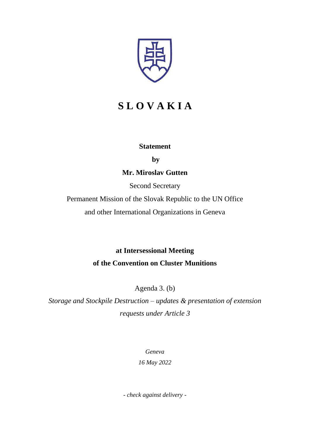

## **S L O V A K I A**

## **Statement**

**by** 

**Mr. Miroslav Gutten**

Second Secretary

Permanent Mission of the Slovak Republic to the UN Office

and other International Organizations in Geneva

**at Intersessional Meeting of the Convention on Cluster Munitions**

Agenda 3. (b)

*Storage and Stockpile Destruction – updates & presentation of extension requests under Article 3*

*Geneva*

*16 May 2022*

*- check against delivery -*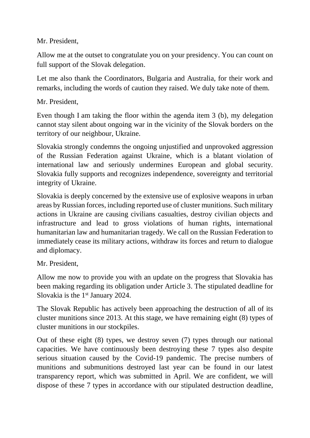Mr. President,

Allow me at the outset to congratulate you on your presidency. You can count on full support of the Slovak delegation.

Let me also thank the Coordinators, Bulgaria and Australia, for their work and remarks, including the words of caution they raised. We duly take note of them.

Mr. President,

Even though I am taking the floor within the agenda item 3 (b), my delegation cannot stay silent about ongoing war in the vicinity of the Slovak borders on the territory of our neighbour, Ukraine.

Slovakia strongly condemns the ongoing unjustified and unprovoked aggression of the Russian Federation against Ukraine, which is a blatant violation of international law and seriously undermines European and global security. Slovakia fully supports and recognizes independence, sovereignty and territorial integrity of Ukraine.

Slovakia is deeply concerned by the extensive use of explosive weapons in urban areas by Russian forces, including reported use of cluster munitions. Such military actions in Ukraine are causing civilians casualties, destroy civilian objects and infrastructure and lead to gross violations of human rights, international humanitarian law and humanitarian tragedy. We call on the Russian Federation to immediately cease its military actions, withdraw its forces and return to dialogue and diplomacy.

Mr. President,

Allow me now to provide you with an update on the progress that Slovakia has been making regarding its obligation under Article 3. The stipulated deadline for Slovakia is the  $1<sup>st</sup>$  January 2024.

The Slovak Republic has actively been approaching the destruction of all of its cluster munitions since 2013. At this stage, we have remaining eight (8) types of cluster munitions in our stockpiles.

Out of these eight (8) types, we destroy seven (7) types through our national capacities. We have continuously been destroying these 7 types also despite serious situation caused by the Covid-19 pandemic. The precise numbers of munitions and submunitions destroyed last year can be found in our latest transparency report, which was submitted in April. We are confident, we will dispose of these 7 types in accordance with our stipulated destruction deadline,